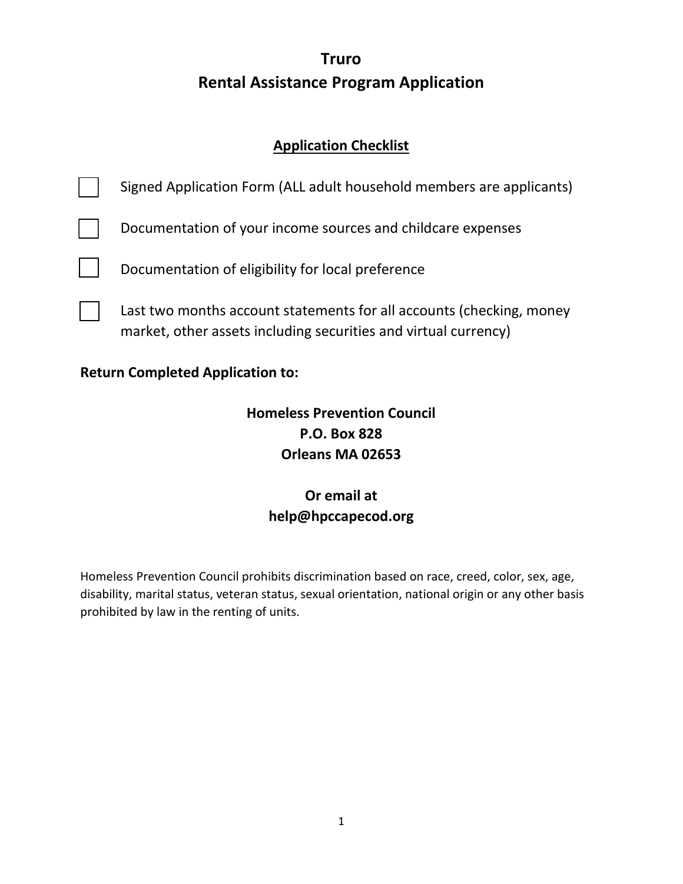# **Truro Rental Assistance Program Application**

### **Application Checklist**

| <b>Homeless Prevention Council</b><br><b>P.O. Box 828</b> |                                                                                                                                         |  |  |  |
|-----------------------------------------------------------|-----------------------------------------------------------------------------------------------------------------------------------------|--|--|--|
| <b>Return Completed Application to:</b>                   |                                                                                                                                         |  |  |  |
|                                                           | Last two months account statements for all accounts (checking, money<br>market, other assets including securities and virtual currency) |  |  |  |
|                                                           | Documentation of eligibility for local preference                                                                                       |  |  |  |
|                                                           | Documentation of your income sources and childcare expenses                                                                             |  |  |  |
|                                                           | Signed Application Form (ALL adult household members are applicants)                                                                    |  |  |  |

# **Orleans MA 02653**

## **Or email at help@hpccapecod.org**

Homeless Prevention Council prohibits discrimination based on race, creed, color, sex, age, disability, marital status, veteran status, sexual orientation, national origin or any other basis prohibited by law in the renting of units.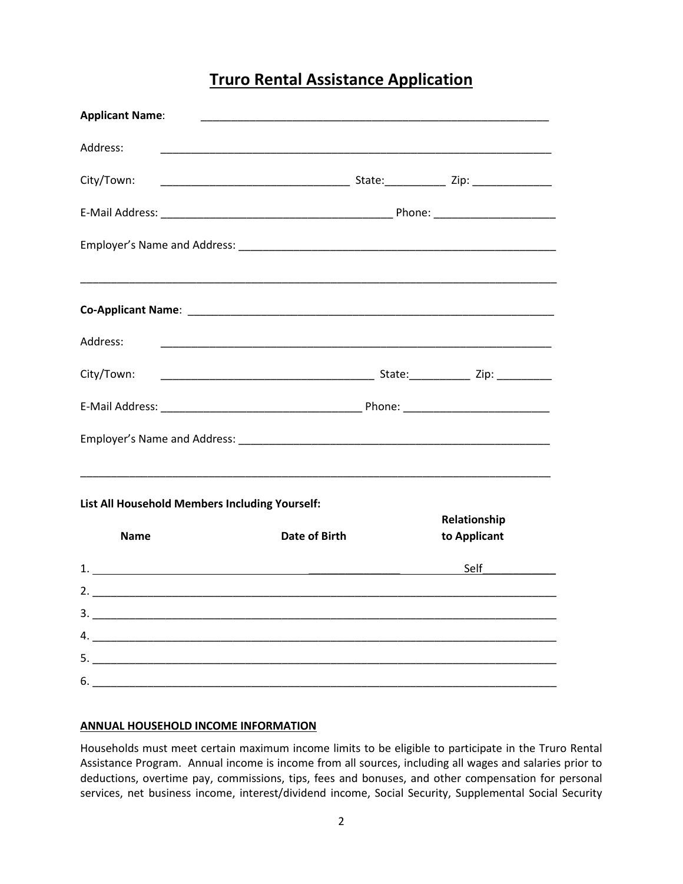### **Truro Rental Assistance Application**

| <b>Applicant Name:</b>                         |               |                              |  |  |  |  |  |
|------------------------------------------------|---------------|------------------------------|--|--|--|--|--|
| Address:                                       |               |                              |  |  |  |  |  |
| City/Town:                                     |               |                              |  |  |  |  |  |
|                                                |               |                              |  |  |  |  |  |
|                                                |               |                              |  |  |  |  |  |
|                                                |               |                              |  |  |  |  |  |
| Address:                                       |               |                              |  |  |  |  |  |
| City/Town:                                     |               |                              |  |  |  |  |  |
|                                                |               |                              |  |  |  |  |  |
|                                                |               |                              |  |  |  |  |  |
| List All Household Members Including Yourself: |               |                              |  |  |  |  |  |
| <b>Name</b>                                    | Date of Birth | Relationship<br>to Applicant |  |  |  |  |  |
| 1.                                             |               | Self                         |  |  |  |  |  |
|                                                |               |                              |  |  |  |  |  |
|                                                |               |                              |  |  |  |  |  |
| 4.                                             |               |                              |  |  |  |  |  |
|                                                |               |                              |  |  |  |  |  |
| 6.                                             |               |                              |  |  |  |  |  |

### **ANNUAL HOUSEHOLD INCOME INFORMATION**

Households must meet certain maximum income limits to be eligible to participate in the Truro Rental Assistance Program. Annual income is income from all sources, including all wages and salaries prior to deductions, overtime pay, commissions, tips, fees and bonuses, and other compensation for personal services, net business income, interest/dividend income, Social Security, Supplemental Social Security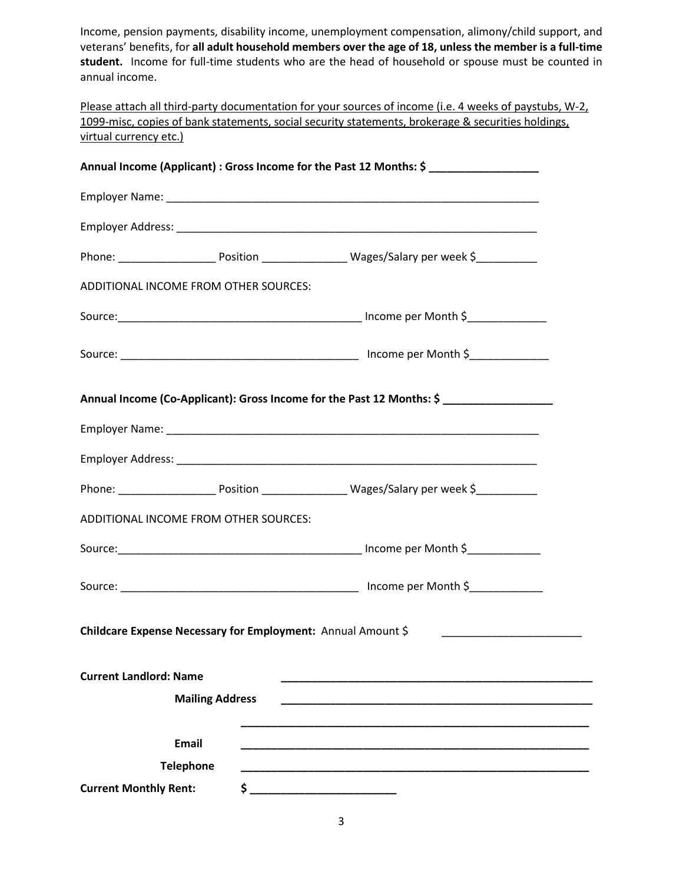Income, pension payments, disability income, unemployment compensation, alimony/child support, and veterans' benefits, for **all adult household members over the age of 18, unless the member is a full-time student.** Income for full-time students who are the head of household or spouse must be counted in annual income.

Please attach all third-party documentation for your sources of income (i.e. 4 weeks of paystubs, W-2, 1099-misc, copies of bank statements, social security statements, brokerage & securities holdings, virtual currency etc.)

|                                                              |                        | Annual Income (Applicant): Gross Income for the Past 12 Months: \$                                         |
|--------------------------------------------------------------|------------------------|------------------------------------------------------------------------------------------------------------|
|                                                              |                        |                                                                                                            |
|                                                              |                        |                                                                                                            |
|                                                              |                        | Phone: __________________________Position ________________________Wages/Salary per week \$_______________  |
| ADDITIONAL INCOME FROM OTHER SOURCES:                        |                        |                                                                                                            |
|                                                              |                        |                                                                                                            |
|                                                              |                        |                                                                                                            |
|                                                              |                        | Annual Income (Co-Applicant): Gross Income for the Past 12 Months: \$                                      |
|                                                              |                        |                                                                                                            |
|                                                              |                        |                                                                                                            |
|                                                              |                        | Phone: __________________________Position _________________________Wages/Salary per week \$_______________ |
| ADDITIONAL INCOME FROM OTHER SOURCES:                        |                        |                                                                                                            |
|                                                              |                        |                                                                                                            |
|                                                              |                        |                                                                                                            |
| Childcare Expense Necessary for Employment: Annual Amount \$ |                        |                                                                                                            |
| <b>Current Landlord: Name</b>                                |                        |                                                                                                            |
|                                                              | <b>Mailing Address</b> |                                                                                                            |
| <b>Email</b>                                                 |                        |                                                                                                            |
| <b>Telephone</b>                                             |                        |                                                                                                            |
| <b>Current Monthly Rent:</b>                                 | \$                     |                                                                                                            |